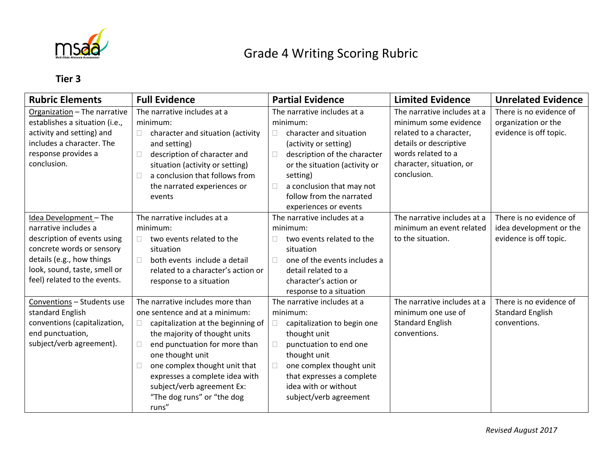

## Grade 4 Writing Scoring Rubric

## **Tier 3**

| <b>Rubric Elements</b>         | <b>Full Evidence</b>                         | <b>Partial Evidence</b>                   | <b>Limited Evidence</b>     | <b>Unrelated Evidence</b> |
|--------------------------------|----------------------------------------------|-------------------------------------------|-----------------------------|---------------------------|
| Organization - The narrative   | The narrative includes at a                  | The narrative includes at a               | The narrative includes at a | There is no evidence of   |
| establishes a situation (i.e., | minimum:                                     | minimum:                                  | minimum some evidence       | organization or the       |
| activity and setting) and      | character and situation (activity<br>$\Box$  | character and situation<br>П.             | related to a character,     | evidence is off topic.    |
| includes a character. The      | and setting)                                 | (activity or setting)                     | details or descriptive      |                           |
| response provides a            | description of character and<br>$\Box$       | description of the character<br>$\Box$    | words related to a          |                           |
| conclusion.                    | situation (activity or setting)              | or the situation (activity or             | character, situation, or    |                           |
|                                | a conclusion that follows from<br>П          | setting)                                  | conclusion.                 |                           |
|                                | the narrated experiences or                  | a conclusion that may not<br>$\mathbf{L}$ |                             |                           |
|                                | events                                       | follow from the narrated                  |                             |                           |
|                                |                                              | experiences or events                     |                             |                           |
| Idea Development - The         | The narrative includes at a                  | The narrative includes at a               | The narrative includes at a | There is no evidence of   |
| narrative includes a           | minimum:                                     | minimum:                                  | minimum an event related    | idea development or the   |
| description of events using    | two events related to the<br>П               | two events related to the                 | to the situation.           | evidence is off topic.    |
| concrete words or sensory      | situation                                    | situation                                 |                             |                           |
| details (e.g., how things      | both events include a detail<br>$\Box$       | one of the events includes a<br>П.        |                             |                           |
| look, sound, taste, smell or   | related to a character's action or           | detail related to a                       |                             |                           |
| feel) related to the events.   | response to a situation                      | character's action or                     |                             |                           |
|                                |                                              | response to a situation                   |                             |                           |
| Conventions - Students use     | The narrative includes more than             | The narrative includes at a               | The narrative includes at a | There is no evidence of   |
| standard English               | one sentence and at a minimum:               | minimum:                                  | minimum one use of          | <b>Standard English</b>   |
| conventions (capitalization,   | capitalization at the beginning of<br>$\Box$ | capitalization to begin one               | <b>Standard English</b>     | conventions.              |
| end punctuation,               | the majority of thought units                | thought unit                              | conventions.                |                           |
| subject/verb agreement).       | end punctuation for more than<br>$\Box$      | punctuation to end one<br>П               |                             |                           |
|                                | one thought unit                             | thought unit                              |                             |                           |
|                                | one complex thought unit that<br>□           | one complex thought unit<br>$\Box$        |                             |                           |
|                                | expresses a complete idea with               | that expresses a complete                 |                             |                           |
|                                | subject/verb agreement Ex:                   | idea with or without                      |                             |                           |
|                                | "The dog runs" or "the dog                   | subject/verb agreement                    |                             |                           |
|                                | runs"                                        |                                           |                             |                           |